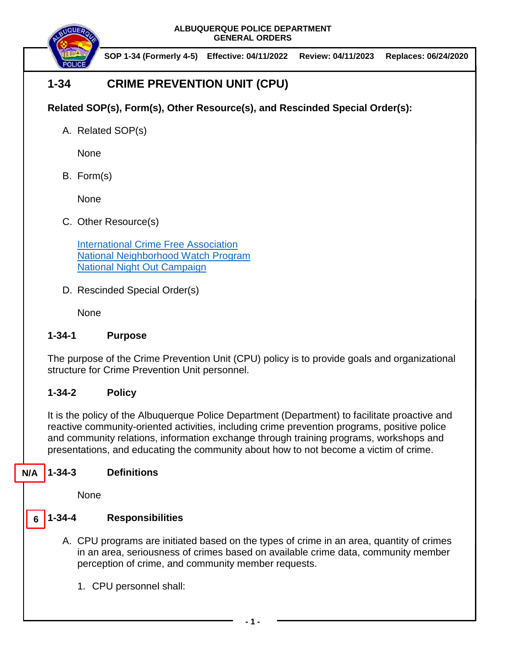

**SOP 1-34 (Formerly 4-5) Effective: 04/11/2022 Review: 04/11/2023 Replaces: 06/24/2020**

# **1-34 CRIME PREVENTION UNIT (CPU)**

## **Related SOP(s), Form(s), Other Resource(s), and Rescinded Special Order(s):**

A. Related SOP(s)

None

B. Form(s)

None

C. Other Resource(s)

[International Crime Free Association](http://www.crime-free-association.org/) [National Neighborhood Watch Program](https://www.nnw.org/) [National Night Out Campaign](https://natw.org/)

D. Rescinded Special Order(s)

None

## **1-34-1 Purpose**

The purpose of the Crime Prevention Unit (CPU) policy is to provide goals and organizational structure for Crime Prevention Unit personnel.

## **1-34-2 Policy**

It is the policy of the Albuquerque Police Department (Department) to facilitate proactive and reactive community-oriented activities, including crime prevention programs, positive police and community relations, information exchange through training programs, workshops and presentations, and educating the community about how to not become a victim of crime.

#### **1-34-3 Definitions N/A**

None

#### **1-34-4 Responsibilities 6**

- A. CPU programs are initiated based on the types of crime in an area, quantity of crimes in an area, seriousness of crimes based on available crime data, community member perception of crime, and community member requests.
	- 1. CPU personnel shall: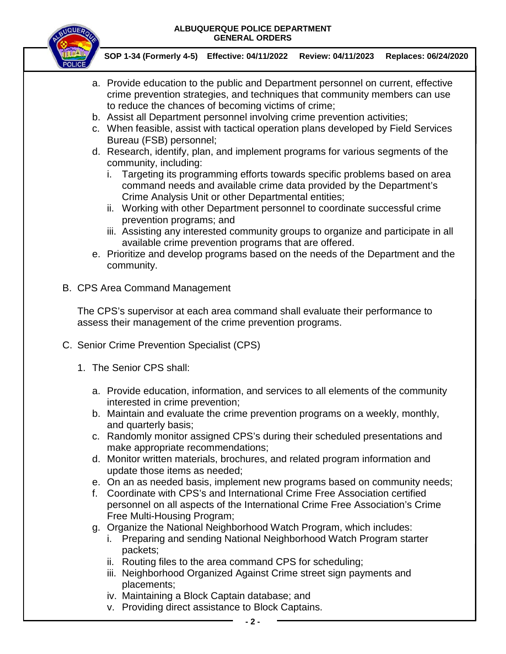

**SOP 1-34 (Formerly 4-5) Effective: 04/11/2022 Review: 04/11/2023 Replaces: 06/24/2020**

- a. Provide education to the public and Department personnel on current, effective crime prevention strategies, and techniques that community members can use to reduce the chances of becoming victims of crime;
- b. Assist all Department personnel involving crime prevention activities;
- c. When feasible, assist with tactical operation plans developed by Field Services Bureau (FSB) personnel;
- d. Research, identify, plan, and implement programs for various segments of the community, including:
	- i. Targeting its programming efforts towards specific problems based on area command needs and available crime data provided by the Department's Crime Analysis Unit or other Departmental entities;
	- ii. Working with other Department personnel to coordinate successful crime prevention programs; and
	- iii. Assisting any interested community groups to organize and participate in all available crime prevention programs that are offered.
- e. Prioritize and develop programs based on the needs of the Department and the community.
- B. CPS Area Command Management

The CPS's supervisor at each area command shall evaluate their performance to assess their management of the crime prevention programs.

- C. Senior Crime Prevention Specialist (CPS)
	- 1. The Senior CPS shall:
		- a. Provide education, information, and services to all elements of the community interested in crime prevention;
		- b. Maintain and evaluate the crime prevention programs on a weekly, monthly, and quarterly basis;
		- c. Randomly monitor assigned CPS's during their scheduled presentations and make appropriate recommendations;
		- d. Monitor written materials, brochures, and related program information and update those items as needed;
		- e. On an as needed basis, implement new programs based on community needs;
		- f. Coordinate with CPS's and International Crime Free Association certified personnel on all aspects of the International Crime Free Association's Crime Free Multi-Housing Program;
		- g. Organize the National Neighborhood Watch Program, which includes:
			- i. Preparing and sending National Neighborhood Watch Program starter packets;
			- ii. Routing files to the area command CPS for scheduling;
			- iii. Neighborhood Organized Against Crime street sign payments and placements;
			- iv. Maintaining a Block Captain database; and
			- v. Providing direct assistance to Block Captains.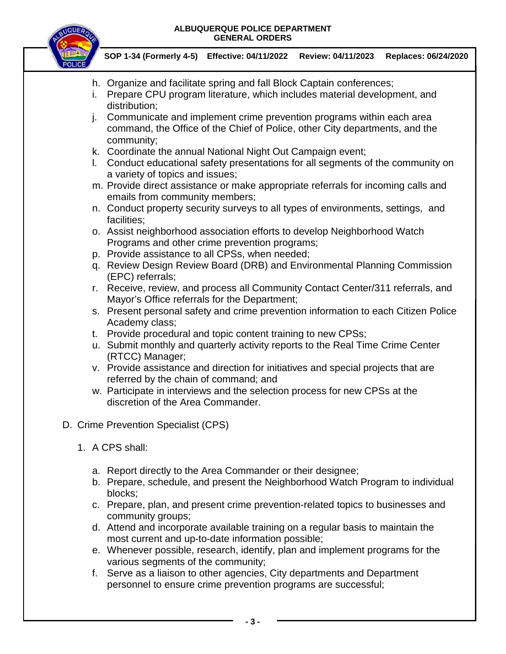

**SOP 1-34 (Formerly 4-5) Effective: 04/11/2022 Review: 04/11/2023 Replaces: 06/24/2020**

- h. Organize and facilitate spring and fall Block Captain conferences;
- i. Prepare CPU program literature, which includes material development, and distribution;
- j. Communicate and implement crime prevention programs within each area command, the Office of the Chief of Police, other City departments, and the community;
- k. Coordinate the annual National Night Out Campaign event;
- l. Conduct educational safety presentations for all segments of the community on a variety of topics and issues;
- m. Provide direct assistance or make appropriate referrals for incoming calls and emails from community members;
- n. Conduct property security surveys to all types of environments, settings, and facilities;
- o. Assist neighborhood association efforts to develop Neighborhood Watch Programs and other crime prevention programs;
- p. Provide assistance to all CPSs, when needed;
- q. Review Design Review Board (DRB) and Environmental Planning Commission (EPC) referrals;
- r. Receive, review, and process all Community Contact Center/311 referrals, and Mayor's Office referrals for the Department;
- s. Present personal safety and crime prevention information to each Citizen Police Academy class;
- t. Provide procedural and topic content training to new CPSs;
- u. Submit monthly and quarterly activity reports to the Real Time Crime Center (RTCC) Manager;
- v. Provide assistance and direction for initiatives and special projects that are referred by the chain of command; and
- w. Participate in interviews and the selection process for new CPSs at the discretion of the Area Commander.
- D. Crime Prevention Specialist (CPS)
	- 1. A CPS shall:
		- a. Report directly to the Area Commander or their designee;
		- b. Prepare, schedule, and present the Neighborhood Watch Program to individual blocks;
		- c. Prepare, plan, and present crime prevention-related topics to businesses and community groups;
		- d. Attend and incorporate available training on a regular basis to maintain the most current and up-to-date information possible;
		- e. Whenever possible, research, identify, plan and implement programs for the various segments of the community;
		- f. Serve as a liaison to other agencies, City departments and Department personnel to ensure crime prevention programs are successful;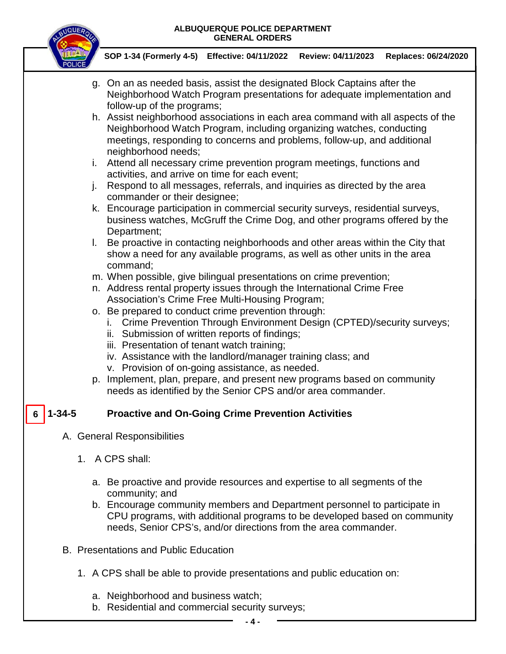

**SOP 1-34 (Formerly 4-5) Effective: 04/11/2022 Review: 04/11/2023 Replaces: 06/24/2020**

- g. On an as needed basis, assist the designated Block Captains after the Neighborhood Watch Program presentations for adequate implementation and follow-up of the programs;
- h. Assist neighborhood associations in each area command with all aspects of the Neighborhood Watch Program, including organizing watches, conducting meetings, responding to concerns and problems, follow-up, and additional neighborhood needs;
- i. Attend all necessary crime prevention program meetings, functions and activities, and arrive on time for each event;
- j. Respond to all messages, referrals, and inquiries as directed by the area commander or their designee;
- k. Encourage participation in commercial security surveys, residential surveys, business watches, McGruff the Crime Dog, and other programs offered by the Department;
- l. Be proactive in contacting neighborhoods and other areas within the City that show a need for any available programs, as well as other units in the area command;
- m. When possible, give bilingual presentations on crime prevention;
- n. Address rental property issues through the International Crime Free Association's Crime Free Multi-Housing Program;
- o. Be prepared to conduct crime prevention through:
	- i. Crime Prevention Through Environment Design (CPTED)/security surveys;
	- ii. Submission of written reports of findings;
	- iii. Presentation of tenant watch training;
	- iv. Assistance with the landlord/manager training class; and
	- v. Provision of on-going assistance, as needed.
- p. Implement, plan, prepare, and present new programs based on community needs as identified by the Senior CPS and/or area commander.

#### **Proactive and On-Going Crime Prevention Activities 6**

- A. General Responsibilities
	- 1. A CPS shall:
		- a. Be proactive and provide resources and expertise to all segments of the community; and
		- b. Encourage community members and Department personnel to participate in CPU programs, with additional programs to be developed based on community needs, Senior CPS's, and/or directions from the area commander.
- B. Presentations and Public Education
	- 1. A CPS shall be able to provide presentations and public education on:
		- a. Neighborhood and business watch;
		- b. Residential and commercial security surveys;